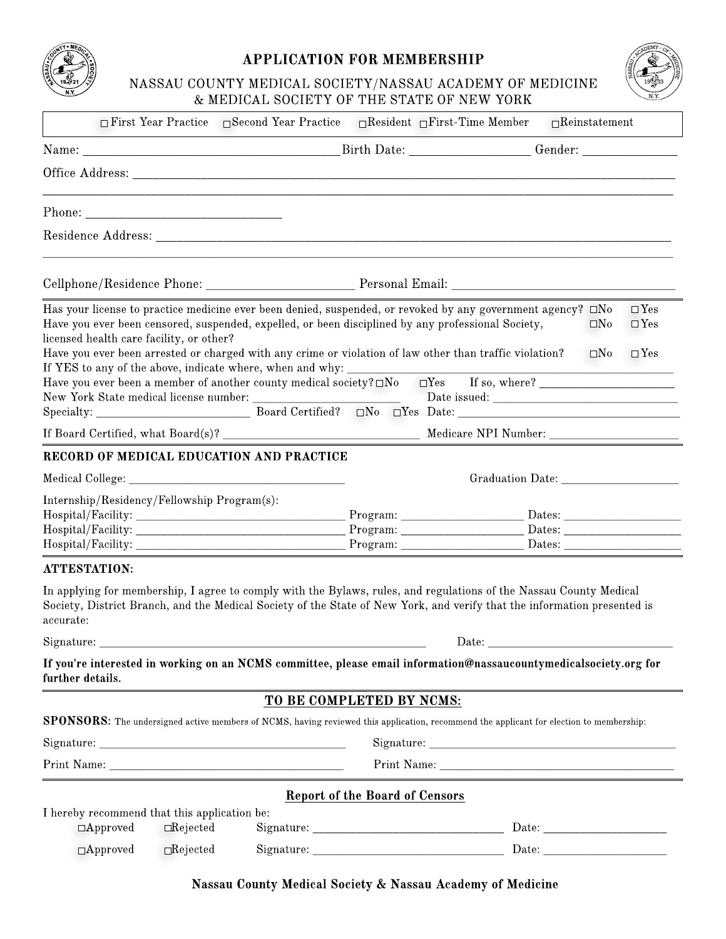

## *APPLICATION FOR MEMBERSHIP*

NASSAU COUNTY MEDICAL SOCIETY/ NASSAU ACADEMY OF MEDICINE & MEDICAL SOCIETY OF THE STATE OF NEW YORK



| $\Box$ First Year Practice $\Box$ Second Year Practice                                                                                                                                                                                                                                                                                                                                                                                                                                                                                                                 | $\Box$ Resident $\Box$ First-Time Member                                                                               | $\Box$ Reinstatement                                                         |
|------------------------------------------------------------------------------------------------------------------------------------------------------------------------------------------------------------------------------------------------------------------------------------------------------------------------------------------------------------------------------------------------------------------------------------------------------------------------------------------------------------------------------------------------------------------------|------------------------------------------------------------------------------------------------------------------------|------------------------------------------------------------------------------|
|                                                                                                                                                                                                                                                                                                                                                                                                                                                                                                                                                                        |                                                                                                                        |                                                                              |
|                                                                                                                                                                                                                                                                                                                                                                                                                                                                                                                                                                        |                                                                                                                        |                                                                              |
|                                                                                                                                                                                                                                                                                                                                                                                                                                                                                                                                                                        |                                                                                                                        |                                                                              |
|                                                                                                                                                                                                                                                                                                                                                                                                                                                                                                                                                                        |                                                                                                                        |                                                                              |
| Cellphone/Residence Phone: Phone: Personal Email: Personal Email:                                                                                                                                                                                                                                                                                                                                                                                                                                                                                                      |                                                                                                                        |                                                                              |
| Has your license to practice medicine ever been denied, suspended, or revoked by any government agency? $\square$ No<br>Have you ever been censored, suspended, expelled, or been disciplined by any professional Society,<br>licensed health care facility, or other?<br>Have you ever been arrested or charged with any crime or violation of law other than traffic violation?<br>If YES to any of the above, indicate where, when and why: ____<br>Have you ever been a member of another county medical society? □No □Yes If so, where? _________________________ |                                                                                                                        | $\square$ Yes<br>$\square$ Yes<br>$\square$ No<br>$\Box$ Yes<br>$\square$ No |
|                                                                                                                                                                                                                                                                                                                                                                                                                                                                                                                                                                        |                                                                                                                        |                                                                              |
|                                                                                                                                                                                                                                                                                                                                                                                                                                                                                                                                                                        |                                                                                                                        |                                                                              |
| RECORD OF MEDICAL EDUCATION AND PRACTICE                                                                                                                                                                                                                                                                                                                                                                                                                                                                                                                               |                                                                                                                        |                                                                              |
|                                                                                                                                                                                                                                                                                                                                                                                                                                                                                                                                                                        |                                                                                                                        |                                                                              |
| Internship/Residency/Fellowship Program(s):<br>Hospital/Facility: Dates: Dates:                                                                                                                                                                                                                                                                                                                                                                                                                                                                                        | Program: 2000                                                                                                          |                                                                              |
| <b>ATTESTATION:</b>                                                                                                                                                                                                                                                                                                                                                                                                                                                                                                                                                    |                                                                                                                        |                                                                              |
| In applying for membership, I agree to comply with the Bylaws, rules, and regulations of the Nassau County Medical<br>Society, District Branch, and the Medical Society of the State of New York, and verify that the information presented is<br>accurate:<br>Signature:                                                                                                                                                                                                                                                                                              | <u> 1989 - Johann Stoff, deutscher Stoffen und der Stoffen und der Stoffen und der Stoffen und der Stoffen und der</u> | Date:                                                                        |
| If you're interested in working on an NCMS committee, please email information@nassaucountymedicalsociety.org for                                                                                                                                                                                                                                                                                                                                                                                                                                                      |                                                                                                                        |                                                                              |
|                                                                                                                                                                                                                                                                                                                                                                                                                                                                                                                                                                        |                                                                                                                        |                                                                              |
|                                                                                                                                                                                                                                                                                                                                                                                                                                                                                                                                                                        | TO BE COMPLETED BY NCMS:                                                                                               |                                                                              |
|                                                                                                                                                                                                                                                                                                                                                                                                                                                                                                                                                                        |                                                                                                                        |                                                                              |
|                                                                                                                                                                                                                                                                                                                                                                                                                                                                                                                                                                        |                                                                                                                        |                                                                              |
|                                                                                                                                                                                                                                                                                                                                                                                                                                                                                                                                                                        |                                                                                                                        |                                                                              |
|                                                                                                                                                                                                                                                                                                                                                                                                                                                                                                                                                                        |                                                                                                                        |                                                                              |
| further details.<br><b>SPONSORS:</b> The undersigned active members of NCMS, having reviewed this application, recommend the applicant for election to membership:<br>I hereby recommend that this application be:<br>$\Box$ Rejected<br>$\Box$ Approved                                                                                                                                                                                                                                                                                                               | <b>Report of the Board of Censors</b>                                                                                  |                                                                              |

*Nassau County Medical Society & Nassau Academy of Medicine*